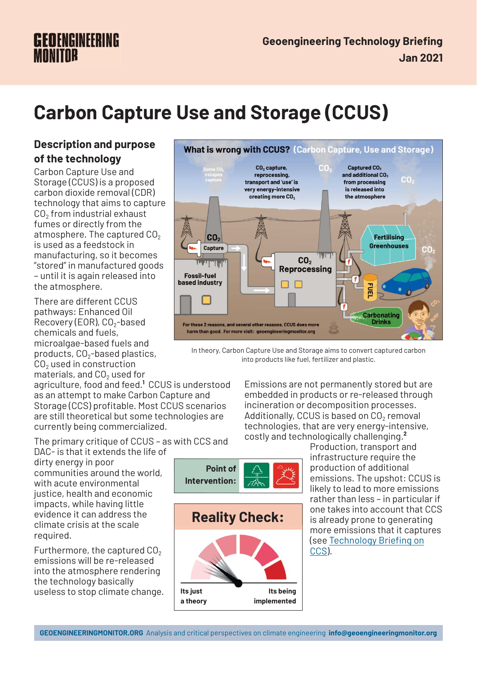# **GEOENGINEERING**

# **Carbon Capture Use and Storage (CCUS)**

# **Description and purpose of the technology**

Carbon Capture Use and Storage (CCUS) is a proposed carbon dioxide removal (CDR) technology that aims to capture  $CO<sub>2</sub>$  from industrial exhaust fumes or directly from the atmosphere. The captured  $CO<sub>2</sub>$ is used as a feedstock in manufacturing, so it becomes "stored" in manufactured goods – until it is again released into the atmosphere.

There are different CCUS pathways: Enhanced Oil Recovery (EOR),  $CO<sub>2</sub>$ -based chemicals and fuels, microalgae-based fuels and products,  $CO<sub>2</sub>$ -based plastics, CO<sub>2</sub> used in construction materials, and  $CO<sub>2</sub>$  used for

agriculture, food and feed.**<sup>1</sup>** CCUS is understood as an attempt to make Carbon Capture and Storage (CCS) profitable. Most CCUS scenarios are still theoretical but some technologies are currently being commercialized.

The primary critique of CCUS – as with CCS and DAC- is that it extends the life of

dirty energy in poor communities around the world, with acute environmental justice, health and economic impacts, while having little evidence it can address the climate crisis at the scale required.

Furthermore, the captured  $CO<sub>2</sub>$ emissions will be re-released into the atmosphere rendering the technology basically useless to stop climate change.



In theory, Carbon Capture Use and Storage aims to convert captured carbon into products like fuel, fertilizer and plastic.

Emissions are not permanently stored but are embedded in products or re-released through incineration or decomposition processes. Additionally, CCUS is based on  $CO<sub>2</sub>$  removal technologies, that are very energy-intensive, costly and technologically challenging.**<sup>2</sup>**

Production, transport and infrastructure require the production of additional emissions. The upshot: CCUS is likely to lead to more emissions rather than less – in particular if one takes into account that CCS is already prone to generating more emissions that it captures (see Technology Briefing on CCS).

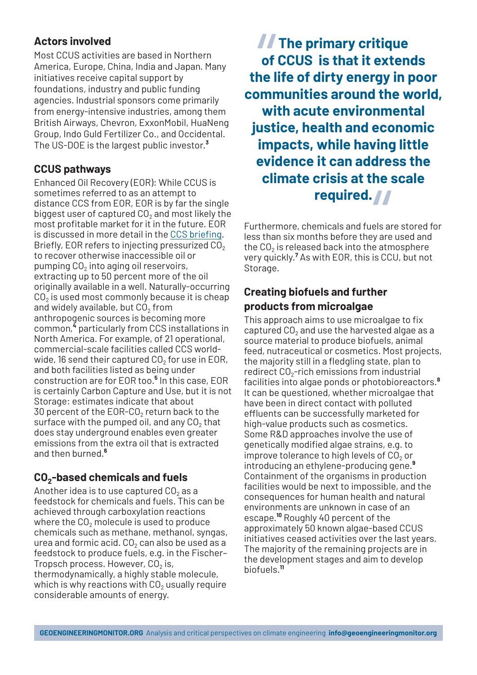## **Actors involved**

Most CCUS activities are based in Northern America, Europe, China, India and Japan. Many initiatives receive capital support by foundations, industry and public funding agencies. Industrial sponsors come primarily from energy-intensive industries, among them British Airways, Chevron, ExxonMobil, HuaNeng Group, Indo Guld Fertilizer Co., and Occidental. The US-DOE is the largest public investor.**<sup>3</sup>**

# **CCUS pathways**

Enhanced Oil Recovery (EOR): While CCUS is sometimes referred to as an attempt to distance CCS from EOR, EOR is by far the single biggest user of captured  $CO<sub>2</sub>$  and most likely the most profitable market for it in the future. EOR is discussed in more detail in the CCS briefing. Briefly, EOR refers to injecting pressurized  $CO<sub>2</sub>$ to recover otherwise inaccessible oil or pumping  $CO<sub>2</sub>$  into aging oil reservoirs, extracting up to 50 percent more of the oil originally available in a well. Naturally-occurring  $CO<sub>2</sub>$  is used most commonly because it is cheap and widely available, but  $CO<sub>2</sub>$  from anthropogenic sources is becoming more common,**<sup>4</sup>** particularly from CCS installations in North America. For example, of 21 operational, commercial-scale facilities called CCS worldwide, 16 send their captured  $CO<sub>2</sub>$  for use in EOR, and both facilities listed as being under construction are for EOR too.**<sup>5</sup>** In this case, EOR is certainly Carbon Capture and Use, but it is not Storage: estimates indicate that about 30 percent of the EOR-CO<sub>2</sub> return back to the surface with the pumped oil, and any  $CO<sub>2</sub>$  that does stay underground enables even greater emissions from the extra oil that is extracted and then burned.**<sup>6</sup>**

# **CO2-based chemicals and fuels**

Another idea is to use captured  $CO<sub>2</sub>$  as a feedstock for chemicals and fuels. This can be achieved through carboxylation reactions where the  $CO<sub>2</sub>$  molecule is used to produce chemicals such as methane, methanol, syngas, urea and formic acid.  $CO<sub>2</sub>$  can also be used as a feedstock to produce fuels, e.g. in the Fischer– Tropsch process. However,  $CO<sub>2</sub>$  is, thermodynamically, a highly stable molecule, which is why reactions with  $CO<sub>2</sub>$  usually require considerable amounts of energy.

**The primary critique of CCUS is that it extends the life of dirty energy in poor communities around the world, with acute environmental justice, health and economic impacts, while having little evidence it can address the climate crisis at the scale** *II*<br>of<br>he l

Furthermore, chemicals and fuels are stored for less than six months before they are used and the  $CO<sub>2</sub>$  is released back into the atmosphere very quickly.**<sup>7</sup>** As with EOR, this is CCU, but not Storage. **required.**<br> **Permicals and fuels and fuels and fuels and fuels and fuels and fuels at and pack into the atm** 

# **Creating biofuels and further products from microalgae**

This approach aims to use microalgae to fix captured CO<sub>2</sub> and use the harvested algae as a source material to produce biofuels, animal feed, nutraceutical or cosmetics. Most projects, the majority still in a fledgling state, plan to redirect  $CO<sub>2</sub>$ -rich emissions from industrial facilities into algae ponds or photobioreactors.**<sup>8</sup>** It can be questioned, whether microalgae that have been in direct contact with polluted effluents can be successfully marketed for high-value products such as cosmetics. Some R&D approaches involve the use of genetically modified algae strains, e.g. to improve tolerance to high levels of  $CO<sub>2</sub>$  or introducing an ethylene-producing gene.**<sup>9</sup>** Containment of the organisms in production facilities would be next to impossible, and the consequences for human health and natural environments are unknown in case of an escape.**<sup>10</sup>** Roughly 40 percent of the approximately 50 known algae-based CCUS initiatives ceased activities over the last years. The majority of the remaining projects are in the development stages and aim to develop biofuels.**<sup>11</sup>**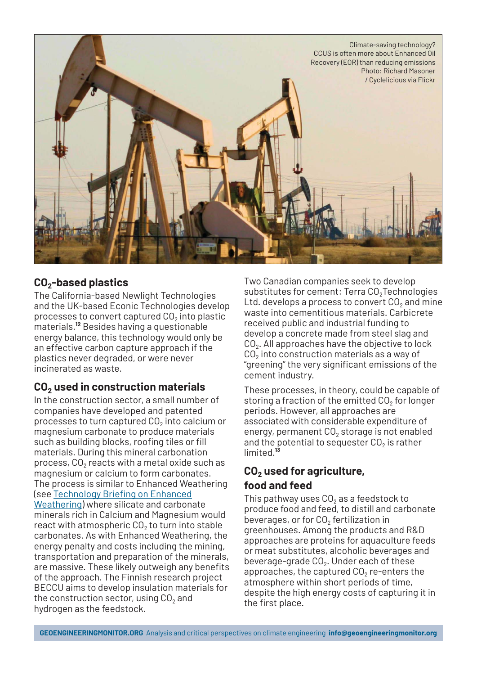

#### **CO2-based plastics**

The California-based Newlight Technologies and the UK-based Econic Technologies develop processes to convert captured  $CO<sub>2</sub>$  into plastic materials.**<sup>12</sup>** Besides having a questionable energy balance, this technology would only be an effective carbon capture approach if the plastics never degraded, or were never incinerated as waste.

### **CO2 used in construction materials**

In the construction sector, a small number of companies have developed and patented processes to turn captured  $CO<sub>2</sub>$  into calcium or magnesium carbonate to produce materials such as building blocks, roofing tiles or fill materials. During this mineral carbonation process,  $CO<sub>2</sub>$  reacts with a metal oxide such as magnesium or calcium to form carbonates. The process is similar to Enhanced Weathering (see Technology Briefing on Enhanced Weathering) where silicate and carbonate minerals rich in Calcium and Magnesium would react with atmospheric  $CO<sub>2</sub>$  to turn into stable carbonates. As with Enhanced Weathering, the energy penalty and costs including the mining, transportation and preparation of the minerals, are massive. These likely outweigh any benefits of the approach. The Finnish research project BECCU aims to develop insulation materials for the construction sector, using  $CO<sub>2</sub>$  and hydrogen as the feedstock.

Two Canadian companies seek to develop substitutes for cement: Terra CO<sub>2</sub>Technologies Ltd. develops a process to convert  $CO<sub>2</sub>$  and mine waste into cementitious materials. Carbicrete received public and industrial funding to develop a concrete made from steel slag and  $CO<sub>2</sub>$ . All approaches have the objective to lock  $CO<sub>2</sub>$  into construction materials as a way of "greening" the very significant emissions of the cement industry.

These processes, in theory, could be capable of storing a fraction of the emitted  $CO<sub>2</sub>$  for longer periods. However, all approaches are associated with considerable expenditure of energy, permanent  $CO<sub>2</sub>$  storage is not enabled and the potential to sequester  $CO<sub>2</sub>$  is rather limited.**<sup>13</sup>**

# **CO2 used for agriculture, food and feed**

This pathway uses  $CO<sub>2</sub>$  as a feedstock to produce food and feed, to distill and carbonate beverages, or for  $CO<sub>2</sub>$  fertilization in greenhouses. Among the products and R&D approaches are proteins for aquaculture feeds or meat substitutes, alcoholic beverages and beverage-grade  $CO<sub>2</sub>$ . Under each of these approaches, the captured  $CO<sub>2</sub>$  re-enters the atmosphere within short periods of time, despite the high energy costs of capturing it in the first place.